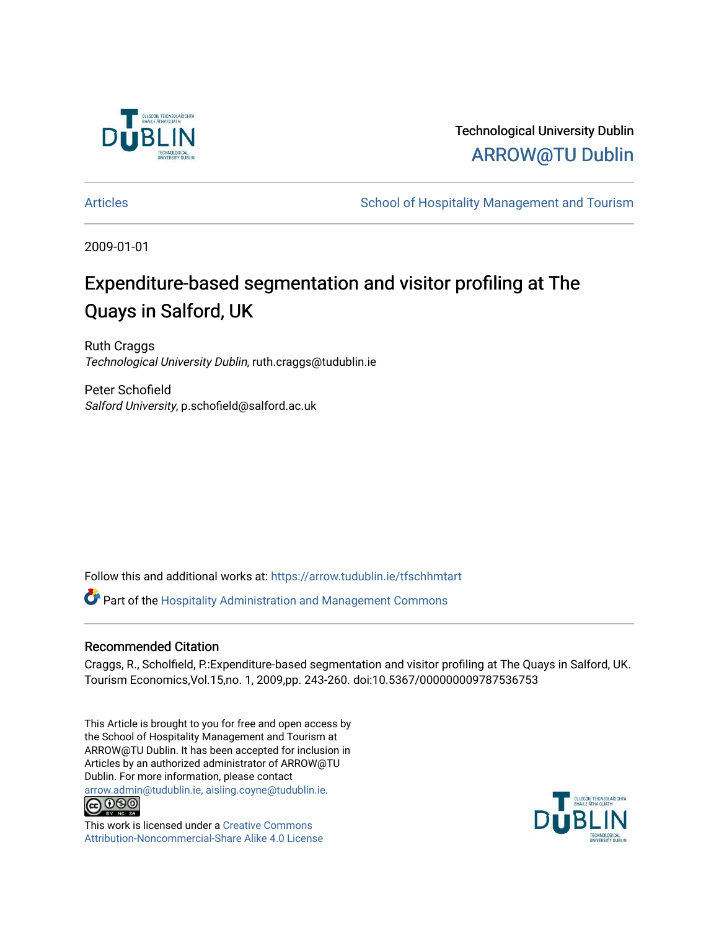

Technological University Dublin [ARROW@TU Dublin](https://arrow.tudublin.ie/) 

[Articles](https://arrow.tudublin.ie/tfschhmtart) **School of Hospitality Management and Tourism** 

2009-01-01

# Expenditure-based segmentation and visitor profiling at The Quays in Salford, UK

Ruth Craggs Technological University Dublin, ruth.craggs@tudublin.ie

Peter Schofield Salford University, p.schofield@salford.ac.uk

Follow this and additional works at: [https://arrow.tudublin.ie/tfschhmtart](https://arrow.tudublin.ie/tfschhmtart?utm_source=arrow.tudublin.ie%2Ftfschhmtart%2F25&utm_medium=PDF&utm_campaign=PDFCoverPages) 

Part of the [Hospitality Administration and Management Commons](http://network.bepress.com/hgg/discipline/632?utm_source=arrow.tudublin.ie%2Ftfschhmtart%2F25&utm_medium=PDF&utm_campaign=PDFCoverPages) 

# Recommended Citation

Craggs, R., Scholfield, P.:Expenditure-based segmentation and visitor profiling at The Quays in Salford, UK. Tourism Economics,Vol.15,no. 1, 2009,pp. 243-260. doi:10.5367/000000009787536753

This Article is brought to you for free and open access by the School of Hospitality Management and Tourism at ARROW@TU Dublin. It has been accepted for inclusion in Articles by an authorized administrator of ARROW@TU Dublin. For more information, please contact [arrow.admin@tudublin.ie, aisling.coyne@tudublin.ie](mailto:arrow.admin@tudublin.ie,%20aisling.coyne@tudublin.ie).<br>
co 000



This work is licensed under a [Creative Commons](http://creativecommons.org/licenses/by-nc-sa/4.0/) [Attribution-Noncommercial-Share Alike 4.0 License](http://creativecommons.org/licenses/by-nc-sa/4.0/)

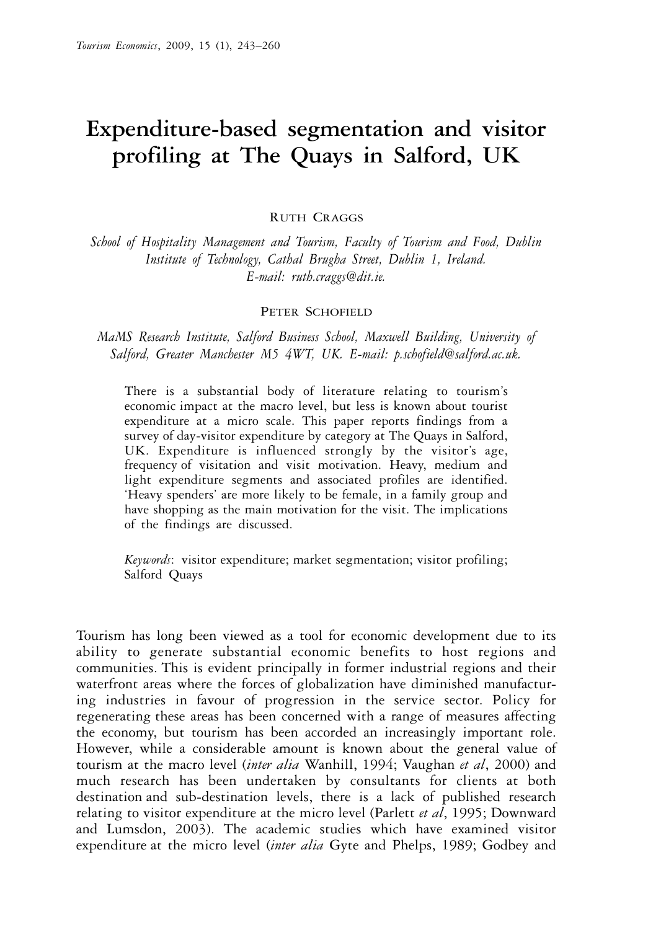# **Expenditure-based segmentation and visitor profiling at The Quays in Salford, UK**

RUTH CRAGGS

*School of Hospitality Management and Tourism, Faculty of Tourism and Food, Dublin Institute of Technology, Cathal Brugha Street, Dublin 1, Ireland. E-mail: ruth.craggs@dit.ie.*

#### PETER SCHOFIELD

*MaMS Research Institute, Salford Business School, Maxwell Building, University of Salford, Greater Manchester M5 4WT, UK. E-mail: p.schofield@salford.ac.uk.*

There is a substantial body of literature relating to tourism's economic impact at the macro level, but less is known about tourist expenditure at a micro scale. This paper reports findings from a survey of day-visitor expenditure by category at The Quays in Salford, UK. Expenditure is influenced strongly by the visitor's age, frequency of visitation and visit motivation. Heavy, medium and light expenditure segments and associated profiles are identified. 'Heavy spenders' are more likely to be female, in a family group and have shopping as the main motivation for the visit. The implications of the findings are discussed.

*Keywords*: visitor expenditure; market segmentation; visitor profiling; Salford Quays

Tourism has long been viewed as a tool for economic development due to its ability to generate substantial economic benefits to host regions and communities. This is evident principally in former industrial regions and their waterfront areas where the forces of globalization have diminished manufacturing industries in favour of progression in the service sector. Policy for regenerating these areas has been concerned with a range of measures affecting the economy, but tourism has been accorded an increasingly important role. However, while a considerable amount is known about the general value of tourism at the macro level (*inter alia* Wanhill, 1994; Vaughan *et al*, 2000) and much research has been undertaken by consultants for clients at both destination and sub-destination levels, there is a lack of published research relating to visitor expenditure at the micro level (Parlett *et al*, 1995; Downward and Lumsdon, 2003). The academic studies which have examined visitor expenditure at the micro level (*inter alia* Gyte and Phelps, 1989; Godbey and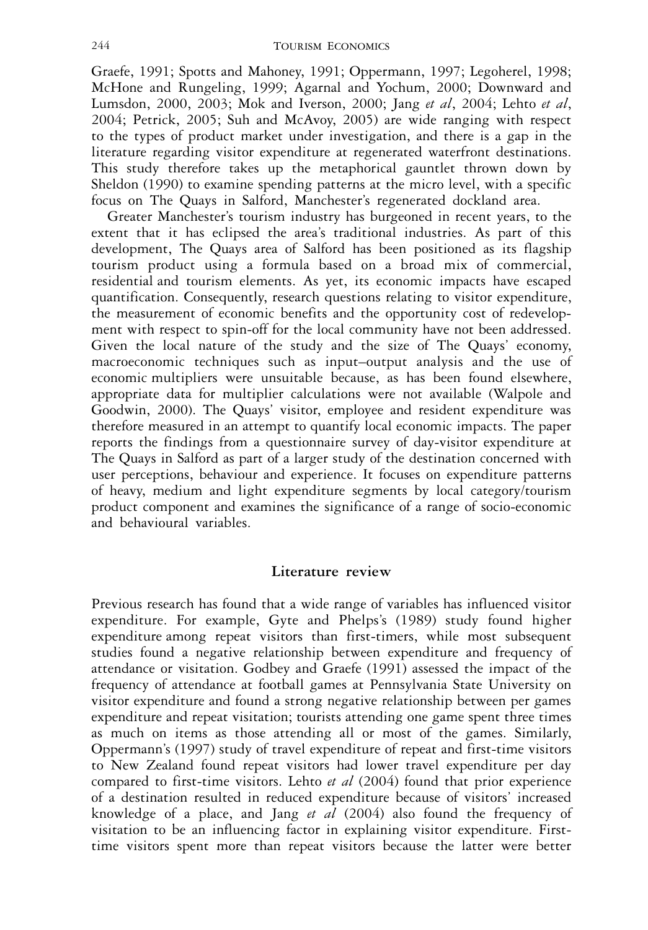Graefe, 1991; Spotts and Mahoney, 1991; Oppermann, 1997; Legoherel, 1998; McHone and Rungeling, 1999; Agarnal and Yochum, 2000; Downward and Lumsdon, 2000, 2003; Mok and Iverson, 2000; Jang *et al*, 2004; Lehto *et al*, 2004; Petrick, 2005; Suh and McAvoy, 2005) are wide ranging with respect to the types of product market under investigation, and there is a gap in the literature regarding visitor expenditure at regenerated waterfront destinations. This study therefore takes up the metaphorical gauntlet thrown down by Sheldon (1990) to examine spending patterns at the micro level, with a specific focus on The Quays in Salford, Manchester's regenerated dockland area.

Greater Manchester's tourism industry has burgeoned in recent years, to the extent that it has eclipsed the area's traditional industries. As part of this development, The Quays area of Salford has been positioned as its flagship tourism product using a formula based on a broad mix of commercial, residential and tourism elements. As yet, its economic impacts have escaped quantification. Consequently, research questions relating to visitor expenditure, the measurement of economic benefits and the opportunity cost of redevelopment with respect to spin-off for the local community have not been addressed. Given the local nature of the study and the size of The Quays' economy, macroeconomic techniques such as input–output analysis and the use of economic multipliers were unsuitable because, as has been found elsewhere, appropriate data for multiplier calculations were not available (Walpole and Goodwin, 2000). The Quays' visitor, employee and resident expenditure was therefore measured in an attempt to quantify local economic impacts. The paper reports the findings from a questionnaire survey of day-visitor expenditure at The Quays in Salford as part of a larger study of the destination concerned with user perceptions, behaviour and experience. It focuses on expenditure patterns of heavy, medium and light expenditure segments by local category/tourism product component and examines the significance of a range of socio-economic and behavioural variables.

# **Literature review**

Previous research has found that a wide range of variables has influenced visitor expenditure. For example, Gyte and Phelps's (1989) study found higher expenditure among repeat visitors than first-timers, while most subsequent studies found a negative relationship between expenditure and frequency of attendance or visitation. Godbey and Graefe (1991) assessed the impact of the frequency of attendance at football games at Pennsylvania State University on visitor expenditure and found a strong negative relationship between per games expenditure and repeat visitation; tourists attending one game spent three times as much on items as those attending all or most of the games. Similarly, Oppermann's (1997) study of travel expenditure of repeat and first-time visitors to New Zealand found repeat visitors had lower travel expenditure per day compared to first-time visitors. Lehto *et al* (2004) found that prior experience of a destination resulted in reduced expenditure because of visitors' increased knowledge of a place, and Jang *et al* (2004) also found the frequency of visitation to be an influencing factor in explaining visitor expenditure. Firsttime visitors spent more than repeat visitors because the latter were better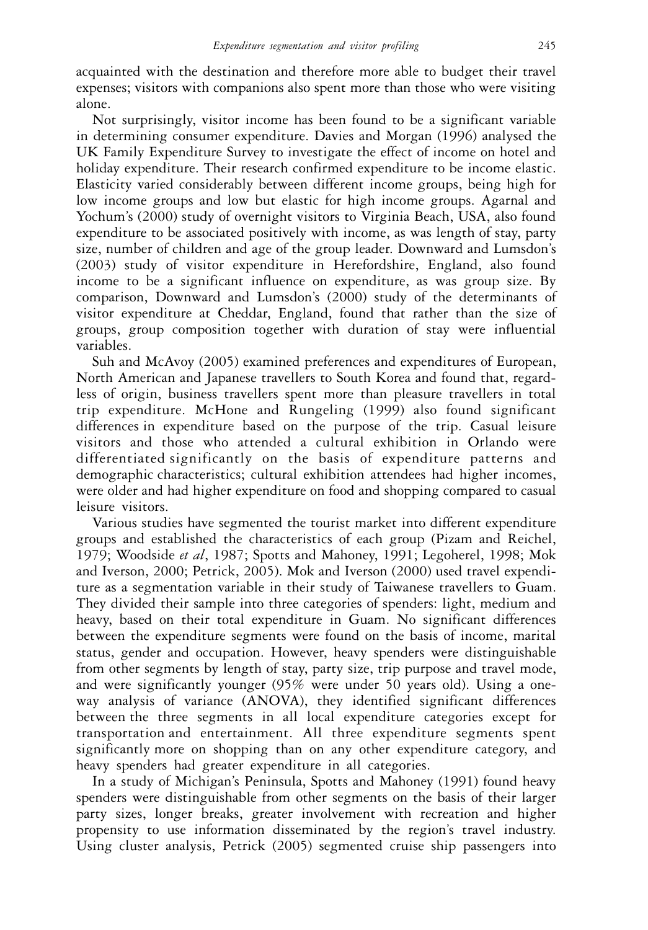acquainted with the destination and therefore more able to budget their travel expenses; visitors with companions also spent more than those who were visiting alone.

Not surprisingly, visitor income has been found to be a significant variable in determining consumer expenditure. Davies and Morgan (1996) analysed the UK Family Expenditure Survey to investigate the effect of income on hotel and holiday expenditure. Their research confirmed expenditure to be income elastic. Elasticity varied considerably between different income groups, being high for low income groups and low but elastic for high income groups. Agarnal and Yochum's (2000) study of overnight visitors to Virginia Beach, USA, also found expenditure to be associated positively with income, as was length of stay, party size, number of children and age of the group leader. Downward and Lumsdon's (2003) study of visitor expenditure in Herefordshire, England, also found income to be a significant influence on expenditure, as was group size. By comparison, Downward and Lumsdon's (2000) study of the determinants of visitor expenditure at Cheddar, England, found that rather than the size of groups, group composition together with duration of stay were influential variables.

Suh and McAvoy (2005) examined preferences and expenditures of European, North American and Japanese travellers to South Korea and found that, regardless of origin, business travellers spent more than pleasure travellers in total trip expenditure. McHone and Rungeling (1999) also found significant differences in expenditure based on the purpose of the trip. Casual leisure visitors and those who attended a cultural exhibition in Orlando were differentiated significantly on the basis of expenditure patterns and demographic characteristics; cultural exhibition attendees had higher incomes, were older and had higher expenditure on food and shopping compared to casual leisure visitors.

Various studies have segmented the tourist market into different expenditure groups and established the characteristics of each group (Pizam and Reichel, 1979; Woodside *et al*, 1987; Spotts and Mahoney, 1991; Legoherel, 1998; Mok and Iverson, 2000; Petrick, 2005). Mok and Iverson (2000) used travel expenditure as a segmentation variable in their study of Taiwanese travellers to Guam. They divided their sample into three categories of spenders: light, medium and heavy, based on their total expenditure in Guam. No significant differences between the expenditure segments were found on the basis of income, marital status, gender and occupation. However, heavy spenders were distinguishable from other segments by length of stay, party size, trip purpose and travel mode, and were significantly younger (95% were under 50 years old). Using a oneway analysis of variance (ANOVA), they identified significant differences between the three segments in all local expenditure categories except for transportation and entertainment. All three expenditure segments spent significantly more on shopping than on any other expenditure category, and heavy spenders had greater expenditure in all categories.

In a study of Michigan's Peninsula, Spotts and Mahoney (1991) found heavy spenders were distinguishable from other segments on the basis of their larger party sizes, longer breaks, greater involvement with recreation and higher propensity to use information disseminated by the region's travel industry. Using cluster analysis, Petrick (2005) segmented cruise ship passengers into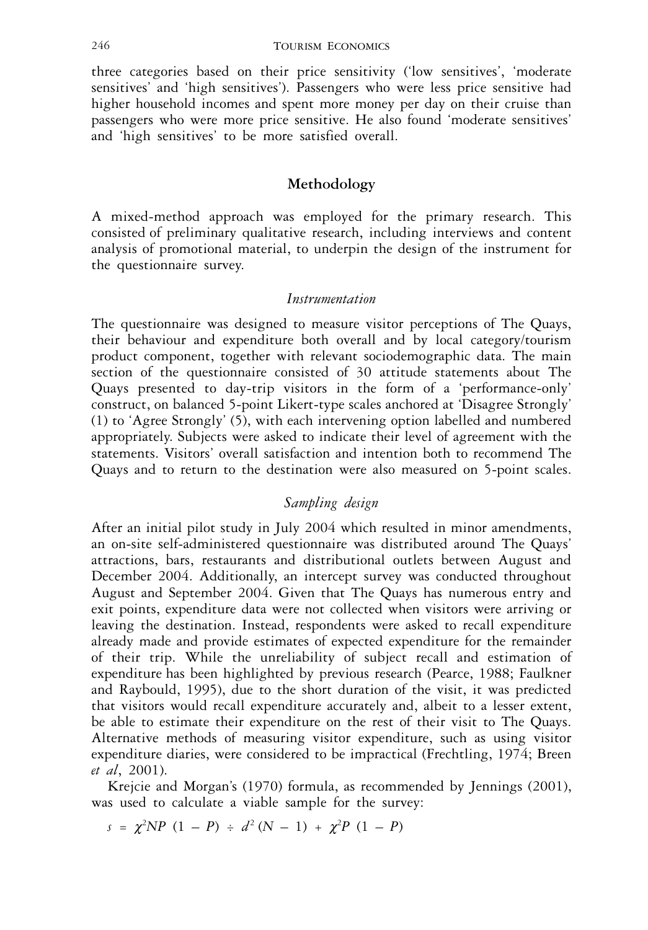three categories based on their price sensitivity ('low sensitives', 'moderate sensitives' and 'high sensitives'). Passengers who were less price sensitive had higher household incomes and spent more money per day on their cruise than passengers who were more price sensitive. He also found 'moderate sensitives' and 'high sensitives' to be more satisfied overall.

#### **Methodology**

A mixed-method approach was employed for the primary research. This consisted of preliminary qualitative research, including interviews and content analysis of promotional material, to underpin the design of the instrument for the questionnaire survey.

#### *Instrumentation*

The questionnaire was designed to measure visitor perceptions of The Quays, their behaviour and expenditure both overall and by local category/tourism product component, together with relevant sociodemographic data. The main section of the questionnaire consisted of 30 attitude statements about The Quays presented to day-trip visitors in the form of a 'performance-only' construct, on balanced 5-point Likert-type scales anchored at 'Disagree Strongly' (1) to 'Agree Strongly' (5), with each intervening option labelled and numbered appropriately. Subjects were asked to indicate their level of agreement with the statements. Visitors' overall satisfaction and intention both to recommend The Quays and to return to the destination were also measured on 5-point scales.

# *Sampling design*

After an initial pilot study in July 2004 which resulted in minor amendments, an on-site self-administered questionnaire was distributed around The Quays' attractions, bars, restaurants and distributional outlets between August and December 2004. Additionally, an intercept survey was conducted throughout August and September 2004. Given that The Quays has numerous entry and exit points, expenditure data were not collected when visitors were arriving or leaving the destination. Instead, respondents were asked to recall expenditure already made and provide estimates of expected expenditure for the remainder of their trip. While the unreliability of subject recall and estimation of expenditure has been highlighted by previous research (Pearce, 1988; Faulkner and Raybould, 1995), due to the short duration of the visit, it was predicted that visitors would recall expenditure accurately and, albeit to a lesser extent, be able to estimate their expenditure on the rest of their visit to The Quays. Alternative methods of measuring visitor expenditure, such as using visitor expenditure diaries, were considered to be impractical (Frechtling, 1974; Breen *et al*, 2001).

Krejcie and Morgan's (1970) formula, as recommended by Jennings (2001), was used to calculate a viable sample for the survey:

 $s = \chi^2 NP \ (1 - P) \div d^2 \ (N - 1) \ + \ \chi^2 P \ (1 - P)$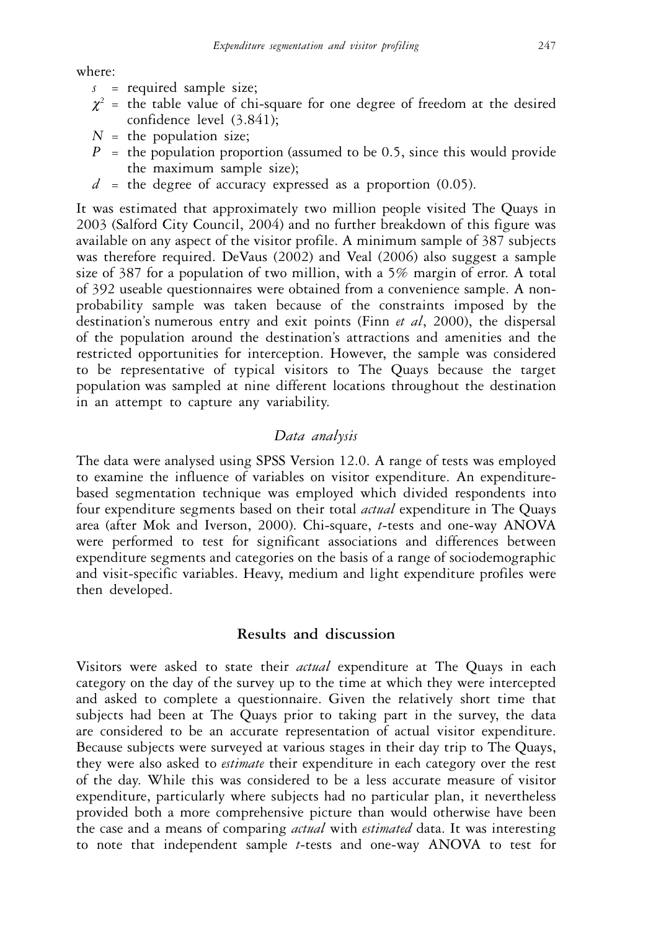where:

- *s* = required sample size;
- $\chi^2$  = the table value of chi-square for one degree of freedom at the desired confidence level (3.841);
- $N =$  the population size;
- $P =$  the population proportion (assumed to be 0.5, since this would provide the maximum sample size);
- $d =$  the degree of accuracy expressed as a proportion  $(0.05)$ .

It was estimated that approximately two million people visited The Quays in 2003 (Salford City Council, 2004) and no further breakdown of this figure was available on any aspect of the visitor profile. A minimum sample of 387 subjects was therefore required. DeVaus (2002) and Veal (2006) also suggest a sample size of 387 for a population of two million, with a 5% margin of error. A total of 392 useable questionnaires were obtained from a convenience sample. A nonprobability sample was taken because of the constraints imposed by the destination's numerous entry and exit points (Finn *et al*, 2000), the dispersal of the population around the destination's attractions and amenities and the restricted opportunities for interception. However, the sample was considered to be representative of typical visitors to The Quays because the target population was sampled at nine different locations throughout the destination in an attempt to capture any variability.

# *Data analysis*

The data were analysed using SPSS Version 12.0. A range of tests was employed to examine the influence of variables on visitor expenditure. An expenditurebased segmentation technique was employed which divided respondents into four expenditure segments based on their total *actual* expenditure in The Quays area (after Mok and Iverson, 2000). Chi-square, *t*-tests and one-way ANOVA were performed to test for significant associations and differences between expenditure segments and categories on the basis of a range of sociodemographic and visit-specific variables. Heavy, medium and light expenditure profiles were then developed.

# **Results and discussion**

Visitors were asked to state their *actual* expenditure at The Quays in each category on the day of the survey up to the time at which they were intercepted and asked to complete a questionnaire. Given the relatively short time that subjects had been at The Quays prior to taking part in the survey, the data are considered to be an accurate representation of actual visitor expenditure. Because subjects were surveyed at various stages in their day trip to The Quays, they were also asked to *estimate* their expenditure in each category over the rest of the day. While this was considered to be a less accurate measure of visitor expenditure, particularly where subjects had no particular plan, it nevertheless provided both a more comprehensive picture than would otherwise have been the case and a means of comparing *actual* with *estimated* data. It was interesting to note that independent sample *t*-tests and one-way ANOVA to test for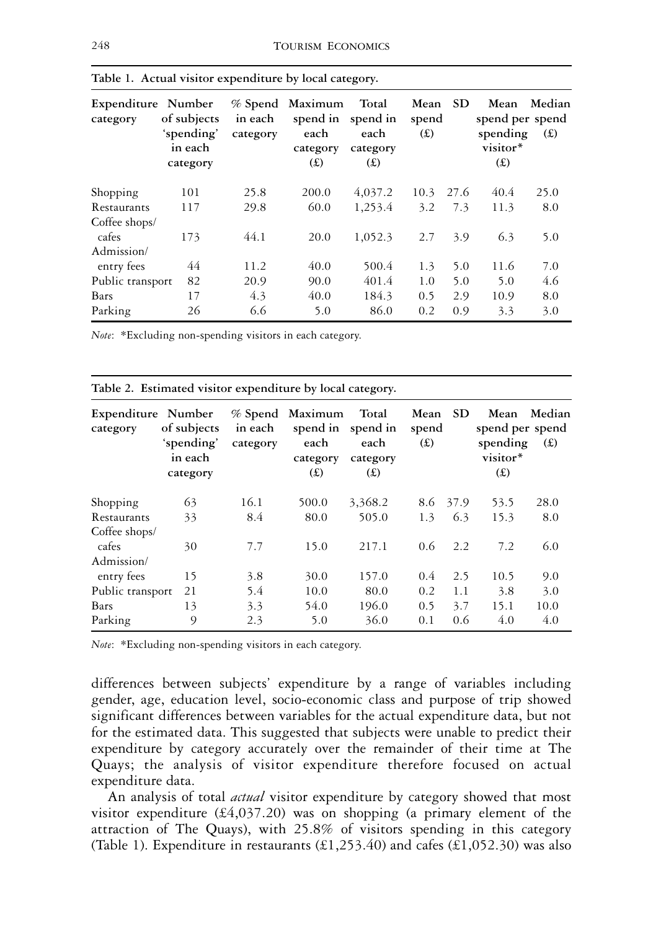| Expenditure Number<br>category | of subjects<br>'spending'<br>in each<br>category | $\%$ Spend<br>in each<br>category | Maximum<br>spend in<br>each<br>category<br>(E) | Total<br>spend in<br>each<br>category<br>(E) | Mean<br>spend<br>(E) | <b>SD</b> | Mean<br>spend per spend<br>spending<br>visitor*<br>f(x) | Median<br>(E) |
|--------------------------------|--------------------------------------------------|-----------------------------------|------------------------------------------------|----------------------------------------------|----------------------|-----------|---------------------------------------------------------|---------------|
| Shopping                       | 101                                              | 25.8                              | 200.0                                          | 4,037.2                                      | 10.3                 | 27.6      | 40.4                                                    | 25.0          |
| Restaurants                    | 117                                              | 29.8                              | 60.0                                           | 1,253.4                                      | 3.2                  | 7.3       | 11.3                                                    | 8.0           |
| Coffee shops/                  |                                                  |                                   |                                                |                                              |                      |           |                                                         |               |
| cafes                          | 173                                              | 44.1                              | 20.0                                           | 1,052.3                                      | 2.7                  | 3.9       | 6.3                                                     | 5.0           |
| Admission/                     |                                                  |                                   |                                                |                                              |                      |           |                                                         |               |
| entry fees                     | 44                                               | 11.2                              | 40.0                                           | 500.4                                        | 1.3                  | 5.0       | 11.6                                                    | 7.0           |
| Public transport               | 82                                               | 20.9                              | 90.0                                           | 401.4                                        | 1.0                  | 5.0       | 5.0                                                     | 4.6           |
| Bars                           | 17                                               | 4.3                               | 40.0                                           | 184.3                                        | 0.5                  | 2.9       | 10.9                                                    | 8.0           |
| Parking                        | 26                                               | 6.6                               | 5.0                                            | 86.0                                         | 0.2                  | 0.9       | 3.3                                                     | 3.0           |

**Table 1. Actual visitor expenditure by local category.**

*Note*: \*Excluding non-spending visitors in each category.

| Expenditure Number<br>category | of subjects<br>'spending'<br>in each<br>category | $\%$ Spend<br>in each<br>category | Maximum<br>each<br>category<br>(E) | Total<br>spend in spend in<br>each<br>category<br>(E) | Mean<br>spend<br>(E) | <b>SD</b> | Mean<br>spend per spend<br>spending<br>visitor*<br>(E) | Median<br>(E) |
|--------------------------------|--------------------------------------------------|-----------------------------------|------------------------------------|-------------------------------------------------------|----------------------|-----------|--------------------------------------------------------|---------------|
| Shopping                       | 63                                               | 16.1                              | 500.0                              | 3,368.2                                               | 8.6                  | 37.9      | 53.5                                                   | 28.0          |
| Restaurants                    | 33                                               | 8.4                               | 80.0                               | 505.0                                                 | 1.3                  | 6.3       | 15.3                                                   | 8.0           |
| Coffee shops/                  |                                                  |                                   |                                    |                                                       |                      |           |                                                        |               |
| cafes                          | 30                                               | 7.7                               | 15.0                               | 217.1                                                 | $0.6^{\circ}$        | 2.2       | 7.2                                                    | 6.0           |
| Admission/                     |                                                  |                                   |                                    |                                                       |                      |           |                                                        |               |
| entry fees                     | 15                                               | 3.8                               | 30.0                               | 157.0                                                 | 0.4                  | 2.5       | 10.5                                                   | 9.0           |
| Public transport               | 21                                               | 5.4                               | 10.0                               | 80.0                                                  | 0.2                  | 1.1       | 3.8                                                    | 3.0           |
| Bars                           | 13                                               | 3.3                               | 54.0                               | 196.0                                                 | 0.5                  | 3.7       | 15.1                                                   | 10.0          |
| Parking                        | 9                                                | 2.3                               | 5.0                                | 36.0                                                  | 0.1                  | 0.6       | 4.0                                                    | 4.0           |

**Table 2. Estimated visitor expenditure by local category.**

*Note*: \*Excluding non-spending visitors in each category.

differences between subjects' expenditure by a range of variables including gender, age, education level, socio-economic class and purpose of trip showed significant differences between variables for the actual expenditure data, but not for the estimated data. This suggested that subjects were unable to predict their expenditure by category accurately over the remainder of their time at The Quays; the analysis of visitor expenditure therefore focused on actual expenditure data.

An analysis of total *actual* visitor expenditure by category showed that most visitor expenditure  $(E4,037.20)$  was on shopping (a primary element of the attraction of The Quays), with 25.8% of visitors spending in this category (Table 1). Expenditure in restaurants  $(\text{\textsterling}1,253.40)$  and cafes  $(\text{\textsterling}1,052.30)$  was also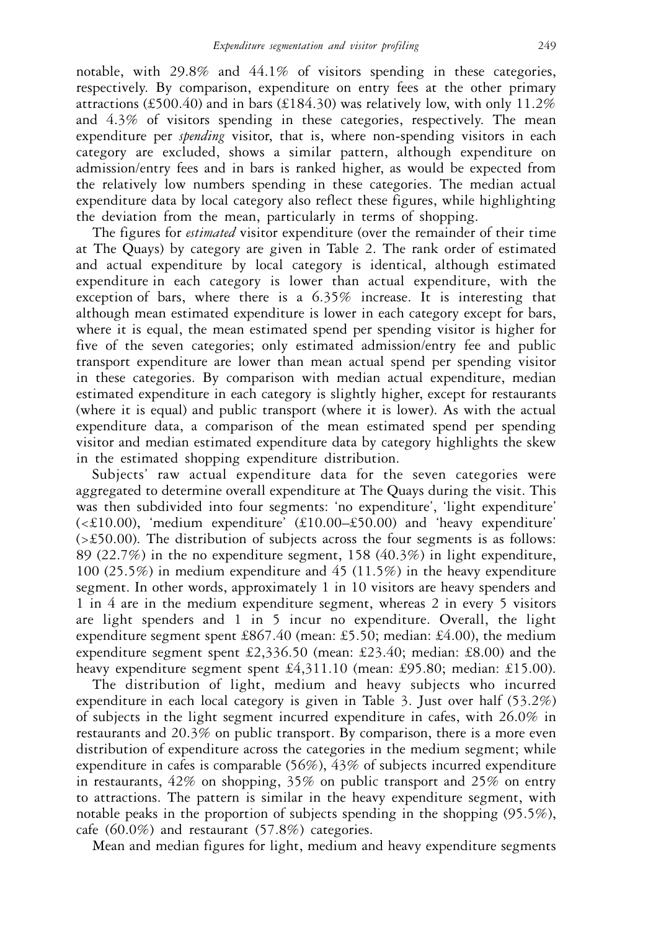notable, with  $29.8\%$  and  $44.1\%$  of visitors spending in these categories, respectively. By comparison, expenditure on entry fees at the other primary attractions (£500.40) and in bars (£184.30) was relatively low, with only  $11.2\%$ and 4.3% of visitors spending in these categories, respectively. The mean expenditure per *spending* visitor, that is, where non-spending visitors in each category are excluded, shows a similar pattern, although expenditure on admission/entry fees and in bars is ranked higher, as would be expected from the relatively low numbers spending in these categories. The median actual expenditure data by local category also reflect these figures, while highlighting the deviation from the mean, particularly in terms of shopping.

The figures for *estimated* visitor expenditure (over the remainder of their time at The Quays) by category are given in Table 2. The rank order of estimated and actual expenditure by local category is identical, although estimated expenditure in each category is lower than actual expenditure, with the exception of bars, where there is a 6.35% increase. It is interesting that although mean estimated expenditure is lower in each category except for bars, where it is equal, the mean estimated spend per spending visitor is higher for five of the seven categories; only estimated admission/entry fee and public transport expenditure are lower than mean actual spend per spending visitor in these categories. By comparison with median actual expenditure, median estimated expenditure in each category is slightly higher, except for restaurants (where it is equal) and public transport (where it is lower). As with the actual expenditure data, a comparison of the mean estimated spend per spending visitor and median estimated expenditure data by category highlights the skew in the estimated shopping expenditure distribution.

Subjects' raw actual expenditure data for the seven categories were aggregated to determine overall expenditure at The Quays during the visit. This was then subdivided into four segments: 'no expenditure', 'light expenditure' (<£10.00), 'medium expenditure' (£10.00–£50.00) and 'heavy expenditure' (>£50.00). The distribution of subjects across the four segments is as follows: 89 (22.7%) in the no expenditure segment, 158 (40.3%) in light expenditure, 100 (25.5%) in medium expenditure and 45 (11.5%) in the heavy expenditure segment. In other words, approximately 1 in 10 visitors are heavy spenders and 1 in 4 are in the medium expenditure segment, whereas 2 in every 5 visitors are light spenders and 1 in 5 incur no expenditure. Overall, the light expenditure segment spent £867.40 (mean: £5.50; median: £4.00), the medium expenditure segment spent £2,336.50 (mean: £23.40; median: £8.00) and the heavy expenditure segment spent £4,311.10 (mean: £95.80; median: £15.00).

The distribution of light, medium and heavy subjects who incurred expenditure in each local category is given in Table 3. Just over half (53.2%) of subjects in the light segment incurred expenditure in cafes, with 26.0% in restaurants and 20.3% on public transport. By comparison, there is a more even distribution of expenditure across the categories in the medium segment; while expenditure in cafes is comparable (56%), 43% of subjects incurred expenditure in restaurants, 42% on shopping, 35% on public transport and 25% on entry to attractions. The pattern is similar in the heavy expenditure segment, with notable peaks in the proportion of subjects spending in the shopping (95.5%), cafe (60.0%) and restaurant (57.8%) categories.

Mean and median figures for light, medium and heavy expenditure segments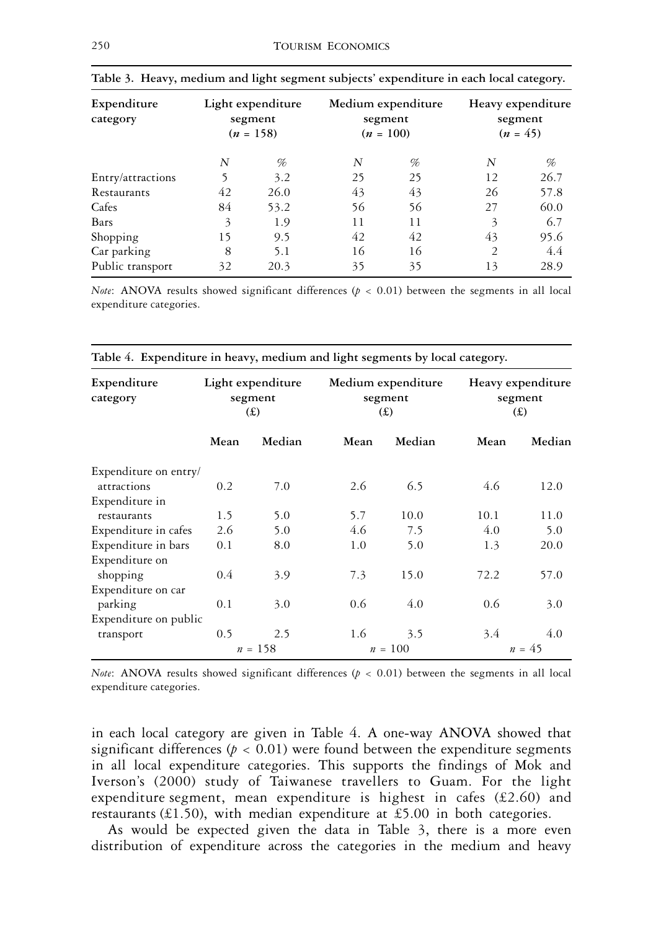| Expenditure<br>category |    | Light expenditure<br>segment<br>$(n = 158)$ | Medium expenditure<br>segment | $(n = 100)$ |                | Heavy expenditure<br>segment<br>$(n = 45)$ |
|-------------------------|----|---------------------------------------------|-------------------------------|-------------|----------------|--------------------------------------------|
|                         | N  | %                                           | N                             | %           | N              | %                                          |
| Entry/attractions       | 5  | 3.2                                         | 25                            | 25          | 12             | 26.7                                       |
| Restaurants             | 42 | 26.0                                        | 43                            | 43          | 26             | 57.8                                       |
| Cafes                   | 84 | 53.2                                        | 56                            | 56          | 27             | 60.0                                       |
| Bars                    | 3  | 1.9                                         | 11                            | 11          | 3              | 6.7                                        |
| Shopping                | 15 | 9.5                                         | 42                            | 42          | 43             | 95.6                                       |
| Car parking             | 8  | 5.1                                         | 16                            | 16          | $\overline{2}$ | 4.4                                        |
| Public transport        | 32 | 20.3                                        | 35                            | 35          | 13             | 28.9                                       |

|  |  |  | Table 3. Heavy, medium and light segment subjects' expenditure in each local category. |  |  |
|--|--|--|----------------------------------------------------------------------------------------|--|--|
|  |  |  |                                                                                        |  |  |

*Note*: ANOVA results showed significant differences ( $p < 0.01$ ) between the segments in all local expenditure categories.

| Expenditure<br>category | Light expenditure<br>segment<br>f(x) |           |      | Medium expenditure<br>segment<br>(E) | Heavy expenditure<br>segment<br>(E) |          |
|-------------------------|--------------------------------------|-----------|------|--------------------------------------|-------------------------------------|----------|
|                         | Mean                                 | Median    | Mean | Median                               | Mean                                | Median   |
| Expenditure on entry/   |                                      |           |      |                                      |                                     |          |
| attractions             | 0.2                                  | 7.0       | 2.6  | 6.5                                  | 4.6                                 | 12.0     |
| Expenditure in          |                                      |           |      |                                      |                                     |          |
| restaurants             | 1.5                                  | 5.0       | 5.7  | 10.0                                 | 10.1                                | 11.0     |
| Expenditure in cafes    | 2.6                                  | 5.0       | 4.6  | 7.5                                  | 4.0                                 | 5.0      |
| Expenditure in bars     | 0.1                                  | 8.0       | 1.0  | 5.0                                  | 1.3                                 | 20.0     |
| Expenditure on          |                                      |           |      |                                      |                                     |          |
| shopping                | 0.4                                  | 3.9       | 7.3  | 15.0                                 | 72.2                                | 57.0     |
| Expenditure on car      |                                      |           |      |                                      |                                     |          |
| parking                 | 0.1                                  | 3.0       | 0.6  | 4.0                                  | 0.6                                 | 3.0      |
| Expenditure on public   |                                      |           |      |                                      |                                     |          |
| transport               | 0.5                                  | 2.5       | 1.6  | 3.5                                  | 3.4                                 | 4.0      |
|                         |                                      | $n = 158$ |      | $n = 100$                            |                                     | $n = 45$ |

**Table 4. Expenditure in heavy, medium and light segments by local category.**

*Note*: ANOVA results showed significant differences ( $p < 0.01$ ) between the segments in all local expenditure categories.

in each local category are given in Table 4. A one-way ANOVA showed that significant differences ( $p < 0.01$ ) were found between the expenditure segments in all local expenditure categories. This supports the findings of Mok and Iverson's (2000) study of Taiwanese travellers to Guam. For the light expenditure segment, mean expenditure is highest in cafes (£2.60) and restaurants (£1.50), with median expenditure at £5.00 in both categories.

As would be expected given the data in Table 3, there is a more even distribution of expenditure across the categories in the medium and heavy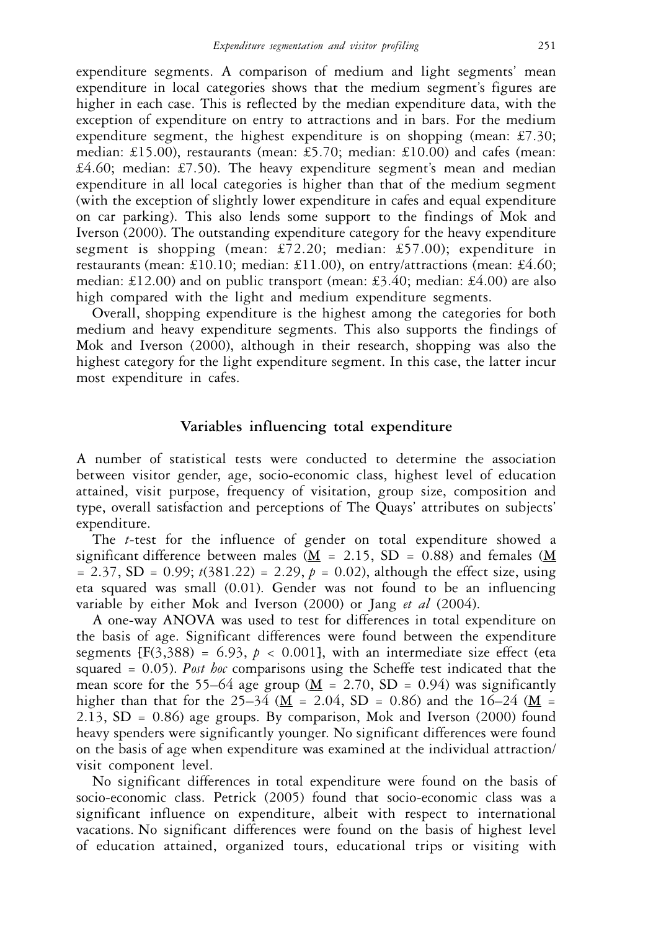expenditure segments. A comparison of medium and light segments' mean expenditure in local categories shows that the medium segment's figures are higher in each case. This is reflected by the median expenditure data, with the exception of expenditure on entry to attractions and in bars. For the medium expenditure segment, the highest expenditure is on shopping (mean:  $\text{\pounds}7.30$ ; median: £15.00), restaurants (mean: £5.70; median: £10.00) and cafes (mean: £4.60; median: £7.50). The heavy expenditure segment's mean and median expenditure in all local categories is higher than that of the medium segment (with the exception of slightly lower expenditure in cafes and equal expenditure on car parking). This also lends some support to the findings of Mok and Iverson (2000). The outstanding expenditure category for the heavy expenditure segment is shopping (mean: £72.20; median: £57.00); expenditure in restaurants (mean: £10.10; median: £11.00), on entry/attractions (mean: £4.60; median: £12.00) and on public transport (mean: £3.40; median: £4.00) are also high compared with the light and medium expenditure segments.

Overall, shopping expenditure is the highest among the categories for both medium and heavy expenditure segments. This also supports the findings of Mok and Iverson (2000), although in their research, shopping was also the highest category for the light expenditure segment. In this case, the latter incur most expenditure in cafes.

#### **Variables influencing total expenditure**

A number of statistical tests were conducted to determine the association between visitor gender, age, socio-economic class, highest level of education attained, visit purpose, frequency of visitation, group size, composition and type, overall satisfaction and perceptions of The Quays' attributes on subjects' expenditure.

The *t*-test for the influence of gender on total expenditure showed a significant difference between males ( $\underline{M}$  = 2.15, SD = 0.88) and females ( $\underline{M}$  $= 2.37$ , SD = 0.99;  $t(381.22) = 2.29$ ,  $p = 0.02$ ), although the effect size, using eta squared was small (0.01). Gender was not found to be an influencing variable by either Mok and Iverson (2000) or Jang *et al* (2004).

A one-way ANOVA was used to test for differences in total expenditure on the basis of age. Significant differences were found between the expenditure segments  $[F(3,388) = 6.93, p < 0.001]$ , with an intermediate size effect (eta squared = 0.05). *Post hoc* comparisons using the Scheffe test indicated that the mean score for the 55–64 age group ( $\underline{M}$  = 2.70, SD = 0.94) was significantly higher than that for the 25–34 ( ${\bf M}$  = 2.04, SD = 0.86) and the 16–24 ( ${\bf M}$  = 2.13, SD = 0.86) age groups. By comparison, Mok and Iverson (2000) found heavy spenders were significantly younger. No significant differences were found on the basis of age when expenditure was examined at the individual attraction/ visit component level.

No significant differences in total expenditure were found on the basis of socio-economic class. Petrick (2005) found that socio-economic class was a significant influence on expenditure, albeit with respect to international vacations. No significant differences were found on the basis of highest level of education attained, organized tours, educational trips or visiting with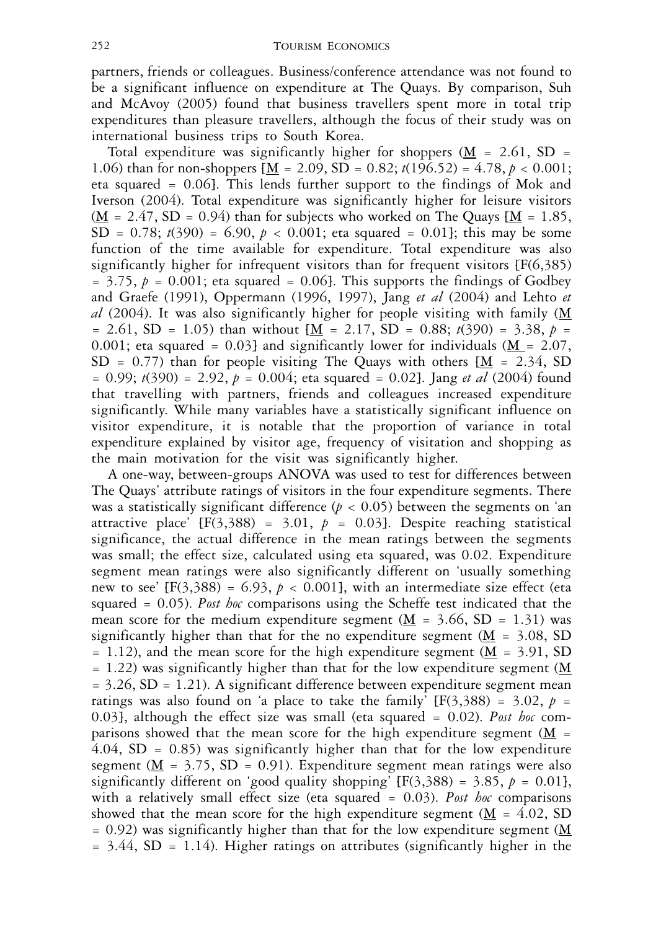partners, friends or colleagues. Business/conference attendance was not found to be a significant influence on expenditure at The Quays. By comparison, Suh and McAvoy (2005) found that business travellers spent more in total trip expenditures than pleasure travellers, although the focus of their study was on international business trips to South Korea.

Total expenditure was significantly higher for shoppers  $(M = 2.61, SD =$ 1.06) than for non-shoppers  $[\underline{M} = 2.09, SD = 0.82; t(196.52) = 4.78, p < 0.001;$ eta squared = 0.06]. This lends further support to the findings of Mok and Iverson (2004). Total expenditure was significantly higher for leisure visitors  $(M = 2.47, SD = 0.94)$  than for subjects who worked on The Quays  $[M = 1.85,$ SD =  $0.78$ ;  $t(390) = 6.90$ ,  $p < 0.001$ ; eta squared =  $0.01$ ; this may be some function of the time available for expenditure. Total expenditure was also significantly higher for infrequent visitors than for frequent visitors [F(6,385)  $= 3.75$ ,  $p = 0.001$ ; eta squared  $= 0.06$ . This supports the findings of Godbey and Graefe (1991), Oppermann (1996, 1997), Jang *et al* (2004) and Lehto *et al* (2004). It was also significantly higher for people visiting with family  $(M)$  $= 2.61$ , SD = 1.05) than without  $[M = 2.17, SD = 0.88; t(390) = 3.38, p =$ 0.001; eta squared = 0.03] and significantly lower for individuals  $(M = 2.07$ , SD = 0.77) than for people visiting The Quays with others  $[\underline{M} = 2.34, SD]$ = 0.99; *t*(390) = 2.92, *p* = 0.004; eta squared = 0.02]. Jang *et al* (2004) found that travelling with partners, friends and colleagues increased expenditure significantly. While many variables have a statistically significant influence on visitor expenditure, it is notable that the proportion of variance in total expenditure explained by visitor age, frequency of visitation and shopping as the main motivation for the visit was significantly higher.

A one-way, between-groups ANOVA was used to test for differences between The Quays' attribute ratings of visitors in the four expenditure segments. There was a statistically significant difference  $(p < 0.05)$  between the segments on 'an attractive place'  $[F(3,388) = 3.01, p = 0.03]$ . Despite reaching statistical significance, the actual difference in the mean ratings between the segments was small; the effect size, calculated using eta squared, was 0.02. Expenditure segment mean ratings were also significantly different on 'usually something new to see'  $[F(3,388) = 6.93, p < 0.001]$ , with an intermediate size effect (eta squared = 0.05). *Post hoc* comparisons using the Scheffe test indicated that the mean score for the medium expenditure segment ( $\underline{M}$  = 3.66, SD = 1.31) was significantly higher than that for the no expenditure segment  $(M = 3.08, SD)$  $= 1.12$ ), and the mean score for the high expenditure segment (M = 3.91, SD  $= 1.22$ ) was significantly higher than that for the low expenditure segment (M  $= 3.26$ , SD  $= 1.21$ ). A significant difference between expenditure segment mean ratings was also found on 'a place to take the family'  $[F(3,388) = 3.02, p =$ 0.03], although the effect size was small (eta squared = 0.02). *Post hoc* comparisons showed that the mean score for the high expenditure segment ( $\overline{M}$  =  $4.04$ , SD = 0.85) was significantly higher than that for the low expenditure segment ( $\underline{M}$  = 3.75, SD = 0.91). Expenditure segment mean ratings were also significantly different on 'good quality shopping'  $[F(3,388) = 3.85, p = 0.01]$ , with a relatively small effect size (eta squared = 0.03). *Post hoc* comparisons showed that the mean score for the high expenditure segment  $(M = 4.02, SD)$  $= 0.92$ ) was significantly higher than that for the low expenditure segment (M  $= 3.44$ , SD  $= 1.14$ ). Higher ratings on attributes (significantly higher in the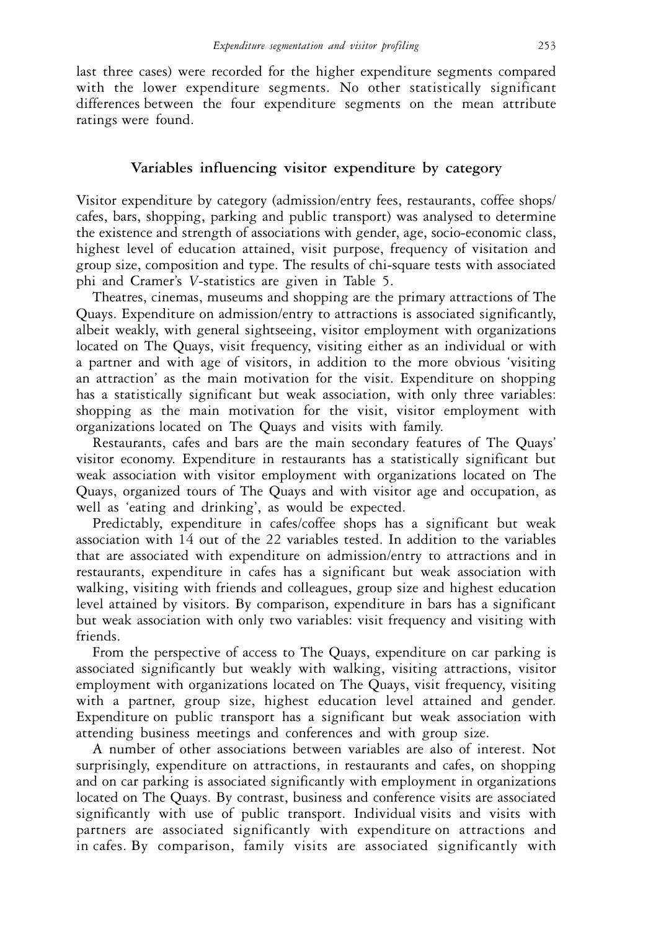last three cases) were recorded for the higher expenditure segments compared with the lower expenditure segments. No other statistically significant differences between the four expenditure segments on the mean attribute ratings were found.

# **Variables influencing visitor expenditure by category**

Visitor expenditure by category (admission/entry fees, restaurants, coffee shops/ cafes, bars, shopping, parking and public transport) was analysed to determine the existence and strength of associations with gender, age, socio-economic class, highest level of education attained, visit purpose, frequency of visitation and group size, composition and type. The results of chi-square tests with associated phi and Cramer's *V*-statistics are given in Table 5.

Theatres, cinemas, museums and shopping are the primary attractions of The Quays. Expenditure on admission/entry to attractions is associated significantly, albeit weakly, with general sightseeing, visitor employment with organizations located on The Quays, visit frequency, visiting either as an individual or with a partner and with age of visitors, in addition to the more obvious 'visiting an attraction' as the main motivation for the visit. Expenditure on shopping has a statistically significant but weak association, with only three variables: shopping as the main motivation for the visit, visitor employment with organizations located on The Quays and visits with family.

Restaurants, cafes and bars are the main secondary features of The Quays' visitor economy. Expenditure in restaurants has a statistically significant but weak association with visitor employment with organizations located on The Quays, organized tours of The Quays and with visitor age and occupation, as well as 'eating and drinking', as would be expected.

Predictably, expenditure in cafes/coffee shops has a significant but weak association with 14 out of the 22 variables tested. In addition to the variables that are associated with expenditure on admission/entry to attractions and in restaurants, expenditure in cafes has a significant but weak association with walking, visiting with friends and colleagues, group size and highest education level attained by visitors. By comparison, expenditure in bars has a significant but weak association with only two variables: visit frequency and visiting with friends.

From the perspective of access to The Quays, expenditure on car parking is associated significantly but weakly with walking, visiting attractions, visitor employment with organizations located on The Quays, visit frequency, visiting with a partner, group size, highest education level attained and gender. Expenditure on public transport has a significant but weak association with attending business meetings and conferences and with group size.

A number of other associations between variables are also of interest. Not surprisingly, expenditure on attractions, in restaurants and cafes, on shopping and on car parking is associated significantly with employment in organizations located on The Quays. By contrast, business and conference visits are associated significantly with use of public transport. Individual visits and visits with partners are associated significantly with expenditure on attractions and in cafes. By comparison, family visits are associated significantly with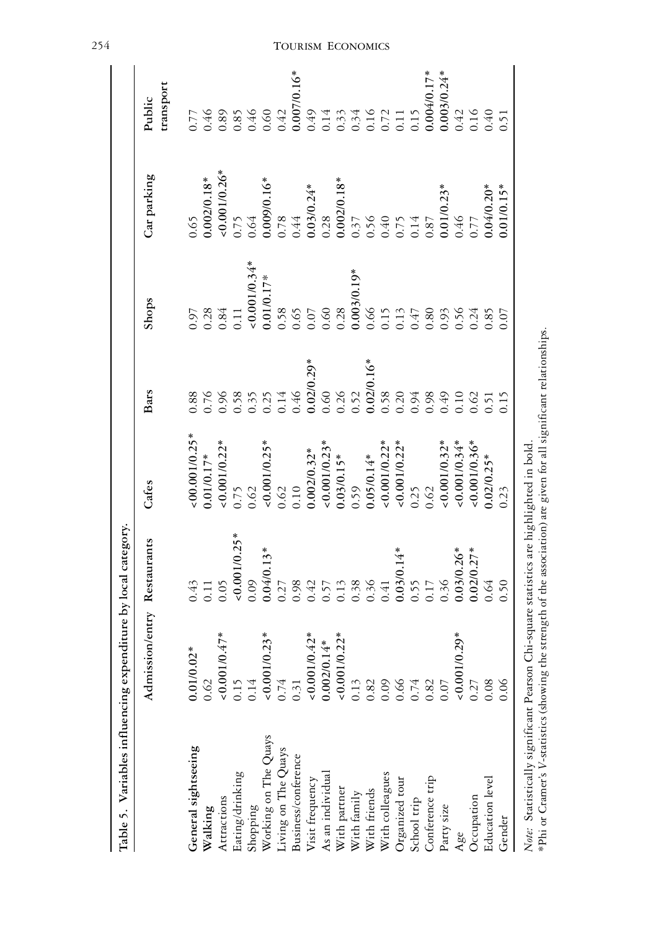|                                            | Admission/entry Restaurants                                                                                                                                                                                                                                                                                                                                                                                                          |                              | Cafes                                                  | Bars                 | Shops                                 | Car parking           | Public                                                      |
|--------------------------------------------|--------------------------------------------------------------------------------------------------------------------------------------------------------------------------------------------------------------------------------------------------------------------------------------------------------------------------------------------------------------------------------------------------------------------------------------|------------------------------|--------------------------------------------------------|----------------------|---------------------------------------|-----------------------|-------------------------------------------------------------|
|                                            |                                                                                                                                                                                                                                                                                                                                                                                                                                      |                              |                                                        |                      |                                       |                       | transport                                                   |
| General sightseeing                        | $0.01/0.02*$                                                                                                                                                                                                                                                                                                                                                                                                                         | 0.43                         | $:00.001/0.25*$                                        | 0.88                 |                                       | 0.65                  | 7.77                                                        |
| Walking                                    |                                                                                                                                                                                                                                                                                                                                                                                                                                      | 0.11                         | $0.01/0.17*$                                           | 0.76                 | 0.28                                  | $0.002/0.18*$         |                                                             |
| Attractions                                | $\frac{0.62}{0.001/0.47}$                                                                                                                                                                                                                                                                                                                                                                                                            | 0.05                         | $< 0.001/0.22*$                                        |                      | 1.84                                  |                       | $0.89$<br>$0.89$<br>$0.60$<br>$0.60$                        |
| Eating/drinking                            |                                                                                                                                                                                                                                                                                                                                                                                                                                      | $< 0.001/0.25*$              | 0.75                                                   | 0.96                 | 0.11                                  | $\frac{10.001}{0.75}$ |                                                             |
| Shopping                                   | $0.15$<br>$0.14$                                                                                                                                                                                                                                                                                                                                                                                                                     | 0.09                         | 0.62                                                   | 0.35                 |                                       | 0.64                  |                                                             |
| Working on The Quays                       | $0.001/0.23*$                                                                                                                                                                                                                                                                                                                                                                                                                        | $0.04/0.13*$                 | $<0.001/0.25*$                                         | 0.25                 | $\frac{1}{20.001/0.34}$<br>0.01/0.17* | $0.009/0.16*$         |                                                             |
|                                            |                                                                                                                                                                                                                                                                                                                                                                                                                                      | 0.27                         | $\frac{0.62}{0.10}$                                    | $0.14\,$             |                                       |                       | 0.42                                                        |
| Living on The Quays<br>Business/conference | $0.74$<br>0.31                                                                                                                                                                                                                                                                                                                                                                                                                       | 0.98                         |                                                        | 0.46                 | 0.58                                  | $0.78$<br>0.44        | 0.007/0.16*<br>0.49<br>0.14<br>0.33<br>0.34<br>0.11<br>0.11 |
| Visit frequency                            |                                                                                                                                                                                                                                                                                                                                                                                                                                      | 0.42                         |                                                        | $0.02/0.29*$         | $0.07$                                |                       |                                                             |
| As an individual                           |                                                                                                                                                                                                                                                                                                                                                                                                                                      | 0.57                         |                                                        | 0.60                 | 0.60                                  | $\frac{0.03}{0.28}$   |                                                             |
|                                            |                                                                                                                                                                                                                                                                                                                                                                                                                                      | 0.13                         | $0.002/0.32*$<br>$0.001/0.23*$<br>$0.03/0.15*$<br>0.59 | 0.26                 | 0.28                                  |                       |                                                             |
| With partner<br>With family                |                                                                                                                                                                                                                                                                                                                                                                                                                                      |                              |                                                        | 0.52                 |                                       | $0.002/0.18*$<br>0.37 |                                                             |
| With friends<br>With colleagues            | $\begin{array}{l} \vspace{2mm} \begin{array}{l} \vspace{2mm} \vspace{2mm} \vspace{2mm} \vspace{2mm} \vspace{2mm} \vspace{2mm} \vspace{2mm} \vspace{2mm} \vspace{2mm} \vspace{2mm} \vspace{2mm} \vspace{2mm} \vspace{2mm} \vspace{2mm} \vspace{2mm} \vspace{2mm} \vspace{2mm} \vspace{2mm} \vspace{2mm} \vspace{2mm} \vspace{2mm} \vspace{2mm} \vspace{2mm} \vspace{2mm} \vspace{2mm} \vspace{2mm} \vspace{2mm} \vspace{2mm} \vspace$ | 0.38                         | $0.05/0.14*$                                           | $0.02/0.16*$<br>0.58 | $0.003/0.19*$<br>0.66                 | $0.56$<br>0.40        |                                                             |
|                                            |                                                                                                                                                                                                                                                                                                                                                                                                                                      | 0.41                         | $0.001/0.22*$                                          |                      | 0.15                                  |                       |                                                             |
| Organized tour                             |                                                                                                                                                                                                                                                                                                                                                                                                                                      |                              | $0.001/0.22*$                                          | 0.20                 | 0.13                                  | $0.75$<br>0.14        |                                                             |
| School trip                                |                                                                                                                                                                                                                                                                                                                                                                                                                                      | $0.03/0.14*$<br>0.55<br>0.17 | 0.25                                                   | 0.94                 | 0.47                                  |                       | 0.15                                                        |
| Conference trip                            |                                                                                                                                                                                                                                                                                                                                                                                                                                      |                              | 0.62                                                   | 0.98                 | 0.80                                  | $0.87\,$              |                                                             |
| Party size                                 | 0.07                                                                                                                                                                                                                                                                                                                                                                                                                                 | 0.36                         | $0.001/0.32*$                                          | 0.49                 | 0.93                                  |                       |                                                             |
| Age                                        | $0.001/0.29*$                                                                                                                                                                                                                                                                                                                                                                                                                        | $0.03/0.26*$                 | $0.001/0.34*$                                          | 0.10                 | 0.56                                  | $0.01/0.23*$<br>0.46  | $0.004/0.17*$<br>0.003/0.24*<br>0.42                        |
| Occupation                                 | 0.27                                                                                                                                                                                                                                                                                                                                                                                                                                 | $0.02/0.27*$                 | $0.001/0.36*$                                          | 0.62                 | 0.24                                  | 77                    | 0.16                                                        |
| Education level                            | 0.08                                                                                                                                                                                                                                                                                                                                                                                                                                 | 0.64                         | $0.02/0.25*$                                           | 0.51                 | 0.85                                  | $0.04/0.20*$          | 0.40                                                        |
| Gender                                     | 0.06                                                                                                                                                                                                                                                                                                                                                                                                                                 | 0.50                         | 0.23                                                   | 0.15                 | 0.07                                  | $0.01/0.15*$          | 0.51                                                        |

254

# TOURISM ECONOMICS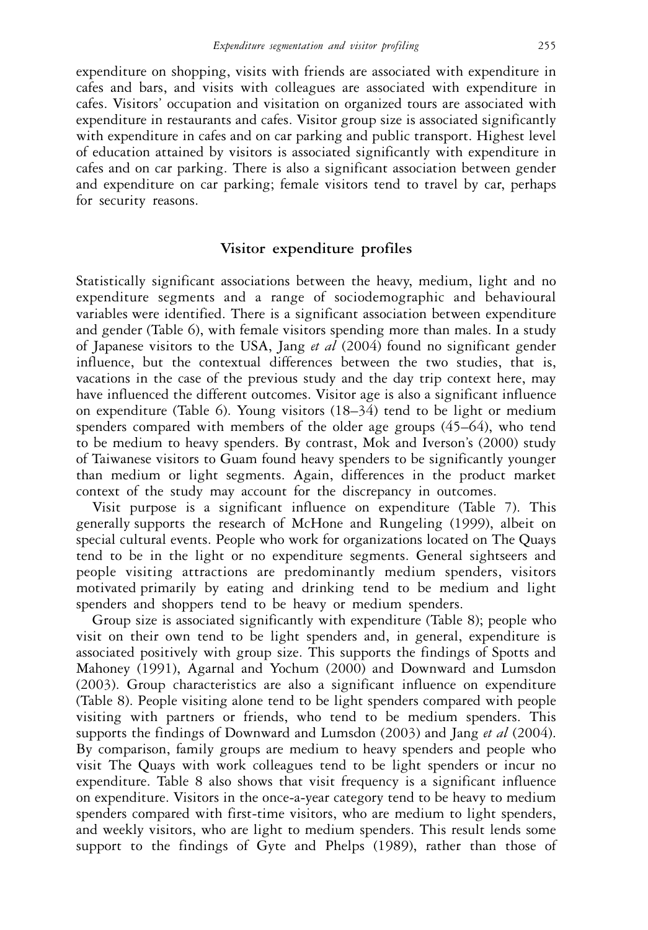expenditure on shopping, visits with friends are associated with expenditure in cafes and bars, and visits with colleagues are associated with expenditure in cafes. Visitors' occupation and visitation on organized tours are associated with expenditure in restaurants and cafes. Visitor group size is associated significantly with expenditure in cafes and on car parking and public transport. Highest level of education attained by visitors is associated significantly with expenditure in cafes and on car parking. There is also a significant association between gender and expenditure on car parking; female visitors tend to travel by car, perhaps for security reasons.

### **Visitor expenditure profiles**

Statistically significant associations between the heavy, medium, light and no expenditure segments and a range of sociodemographic and behavioural variables were identified. There is a significant association between expenditure and gender (Table 6), with female visitors spending more than males. In a study of Japanese visitors to the USA, Jang *et al* (2004) found no significant gender influence, but the contextual differences between the two studies, that is, vacations in the case of the previous study and the day trip context here, may have influenced the different outcomes. Visitor age is also a significant influence on expenditure (Table 6). Young visitors (18–34) tend to be light or medium spenders compared with members of the older age groups (45–64), who tend to be medium to heavy spenders. By contrast, Mok and Iverson's (2000) study of Taiwanese visitors to Guam found heavy spenders to be significantly younger than medium or light segments. Again, differences in the product market context of the study may account for the discrepancy in outcomes.

Visit purpose is a significant influence on expenditure (Table 7). This generally supports the research of McHone and Rungeling (1999), albeit on special cultural events. People who work for organizations located on The Quays tend to be in the light or no expenditure segments. General sightseers and people visiting attractions are predominantly medium spenders, visitors motivated primarily by eating and drinking tend to be medium and light spenders and shoppers tend to be heavy or medium spenders.

Group size is associated significantly with expenditure (Table 8); people who visit on their own tend to be light spenders and, in general, expenditure is associated positively with group size. This supports the findings of Spotts and Mahoney (1991), Agarnal and Yochum (2000) and Downward and Lumsdon (2003). Group characteristics are also a significant influence on expenditure (Table 8). People visiting alone tend to be light spenders compared with people visiting with partners or friends, who tend to be medium spenders. This supports the findings of Downward and Lumsdon (2003) and Jang *et al* (2004). By comparison, family groups are medium to heavy spenders and people who visit The Quays with work colleagues tend to be light spenders or incur no expenditure. Table 8 also shows that visit frequency is a significant influence on expenditure. Visitors in the once-a-year category tend to be heavy to medium spenders compared with first-time visitors, who are medium to light spenders, and weekly visitors, who are light to medium spenders. This result lends some support to the findings of Gyte and Phelps (1989), rather than those of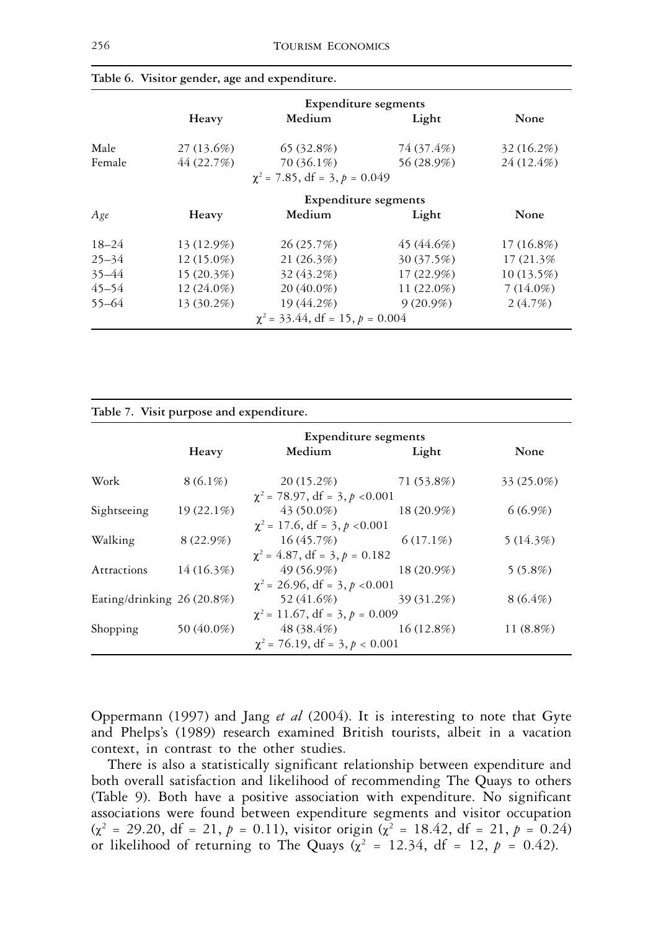|           |              | <b>Expenditure segments</b>          |               |              |
|-----------|--------------|--------------------------------------|---------------|--------------|
|           | Heavy        | Medium                               | Light         | None         |
| Male      | 27(13.6%)    | 65(32.8%)                            | 74 (37.4%)    | 32(16.2%)    |
| Female    | 44 (22.7%)   | 70 (36.1%)                           | 56 (28.9%)    | 24 (12.4%)   |
|           |              | $\chi^2$ = 7.85, df = 3, p = 0.049   |               |              |
|           |              | <b>Expenditure segments</b>          |               |              |
| Age       | Heavy        | Medium                               | Light         | None         |
| $18 - 24$ | 13 (12.9%)   | 26(25.7%)                            | 45 (44.6%)    | $17(16.8\%)$ |
| $25 - 34$ | $12(15.0\%)$ | 21 (26.3%)                           | 30 (37.5%)    | 17 (21.3%)   |
| $35 - 44$ | 15(20.3%)    | 32 (43.2%)                           | $17(22.9\%)$  | $10(13.5\%)$ |
| $45 - 54$ | $12(24.0\%)$ | $20(40.0\%)$                         | 11 $(22.0\%)$ | $7(14.0\%)$  |
| $55 - 64$ | 13 (30.2%)   | 19 (44.2%)                           | $9(20.9\%)$   | 2(4.7%)      |
|           |              | $\chi^2$ = 33.44, df = 15, p = 0.004 |               |              |

|  |  |  |  | Table 6. Visitor gender, age and expenditure. |
|--|--|--|--|-----------------------------------------------|
|--|--|--|--|-----------------------------------------------|

**Table 7. Visit purpose and expenditure.**

|                             |              | <b>Expenditure segments</b>         |              |              |  |  |
|-----------------------------|--------------|-------------------------------------|--------------|--------------|--|--|
|                             | Heavy        | Medium                              | Light        | None         |  |  |
| Work                        | $8(6.1\%)$   | $20(15.2\%)$                        | 71 (53.8%)   | 33 (25.0%)   |  |  |
|                             |              | $\chi^2$ = 78.97, df = 3, p < 0.001 |              |              |  |  |
| Sightseeing                 | $19(22.1\%)$ | $43(50.0\%)$                        | 18 (20.9%)   | $6(6.9\%)$   |  |  |
|                             |              | $\chi^2$ = 17.6, df = 3, p < 0.001  |              |              |  |  |
| Walking                     | $8(22.9\%)$  | 16(45.7%)                           | $6(17.1\%)$  | 5(14.3%)     |  |  |
|                             |              | $\chi^2$ = 4.87, df = 3, p = 0.182  |              |              |  |  |
| Attractions                 | 14(16.3%)    | $49(56.9\%)$                        | 18 (20.9%)   | $5(5.8\%)$   |  |  |
|                             |              | $\chi^2$ = 26.96, df = 3, p < 0.001 |              |              |  |  |
| Eating/drinking $26(20.8%)$ |              | 52 (41.6%)                          | 39 (31.2%)   | $8(6.4\%)$   |  |  |
|                             |              | $\chi^2$ = 11.67, df = 3, p = 0.009 |              |              |  |  |
| Shopping                    | 50 (40.0%)   | 48 (38.4%)                          | $16(12.8\%)$ | 11 $(8.8\%)$ |  |  |
|                             |              | $\chi^2$ = 76.19, df = 3, p < 0.001 |              |              |  |  |
|                             |              |                                     |              |              |  |  |

Oppermann (1997) and Jang *et al* (2004). It is interesting to note that Gyte and Phelps's (1989) research examined British tourists, albeit in a vacation context, in contrast to the other studies.

There is also a statistically significant relationship between expenditure and both overall satisfaction and likelihood of recommending The Quays to others (Table 9). Both have a positive association with expenditure. No significant associations were found between expenditure segments and visitor occupation  $(x^2 = 29.20, df = 21, p = 0.11)$ , visitor origin  $(x^2 = 18.42, df = 21, p = 0.24)$ or likelihood of returning to The Quays ( $\chi^2$  = 12.34, df = 12,  $p$  = 0.42).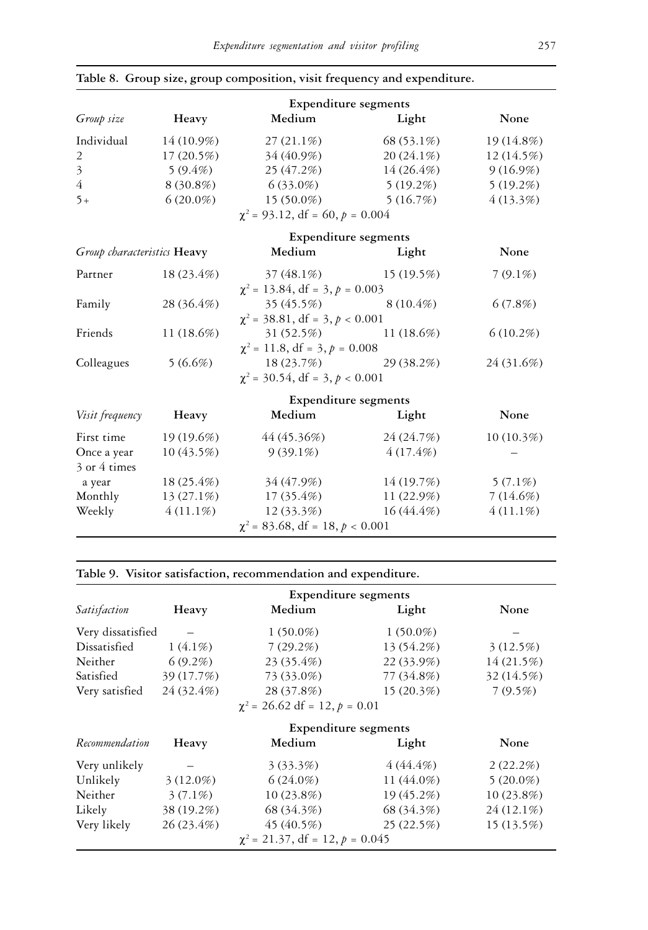|                             |              | <b>Expenditure segments</b>            |                        |             |
|-----------------------------|--------------|----------------------------------------|------------------------|-------------|
| Group size                  | Heavy        | Medium                                 | Light                  | None        |
| Individual                  | $14(10.9\%)$ | $27(21.1\%)$                           | 68 (53.1%)             | 19 (14.8%)  |
| 2                           | 17(20.5%)    | 34 (40.9%)                             | $20(24.1\%)$           | 12 (14.5%)  |
| $\overline{3}$              | $5(9.4\%)$   | 25 (47.2%)                             | 14(26.4%)              | 9(16.9%)    |
| $\overline{4}$              | 8 (30.8%)    | 6 (33.0%)                              | $5(19.2\%)$            | 5(19.2%)    |
| $5+$                        | $6(20.0\%)$  | $15(50.0\%)$ $5(16.7\%)$               |                        | 4(13.3%)    |
|                             |              | $\chi^2$ = 93.12, df = 60, p = 0.004   |                        |             |
|                             |              | <b>Expenditure segments</b>            |                        |             |
| Group characteristics Heavy |              | Medium                                 | Light                  | None        |
| Partner                     | 18 (23.4%)   | $37(48.1\%)$ $15(19.5\%)$              |                        | $7(9.1\%)$  |
|                             |              | $\chi^2$ = 13.84, df = 3, p = 0.003    |                        |             |
| Family                      | 28 (36.4%)   | 35(45.5%)                              | $8(10.4\%)$            | 6(7.8%)     |
|                             |              | $\chi^2$ = 38.81, df = 3, $p < 0.001$  |                        |             |
| Friends                     | 11 $(18.6%)$ | $31(52.5%)$ $11(18.6%)$                |                        | 6(10.2%)    |
|                             |              | $\chi^2$ = 11.8, df = 3, p = 0.008     |                        |             |
| Colleagues                  | 5(6.6%)      |                                        | $18(23.7%)$ 29 (38.2%) | 24 (31.6%)  |
|                             |              | $\chi^2$ = 30.54, df = 3, p < 0.001    |                        |             |
|                             |              | <b>Expenditure segments</b>            |                        |             |
| Visit frequency             | Heavy        | Medium                                 | Light                  | None        |
| First time                  | 19(19.6%)    | 44 (45.36%)                            | 24 (24.7%)             | 10(10.3%)   |
| Once a year                 | 10(43.5%)    | $9(39.1\%)$                            | $4(17.4\%)$            |             |
| 3 or 4 times                |              |                                        |                        |             |
| a year                      | 18 (25.4%)   | 34 (47.9%)                             | 14 (19.7%)             | $5(7.1\%)$  |
| Monthly                     | $13(27.1\%)$ | 17 (35.4%)                             | $11(22.9\%)$           | 7(14.6%)    |
| Weekly                      | $4(11.1\%)$  | $12(33.3\%)$                           | $16(44.4\%)$           | $4(11.1\%)$ |
|                             |              | $\chi^2$ = 83.68, df = 18, $p < 0.001$ |                        |             |

### **Table 8. Group size, group composition, visit frequency and expenditure.**

# **Table 9. Visitor satisfaction, recommendation and expenditure.**

|                   |            | <b>Expenditure segments</b>        |             |            |
|-------------------|------------|------------------------------------|-------------|------------|
| Satisfaction      | Heavy      | Medium                             | Light       | None       |
| Very dissatisfied |            | $1(50.0\%)$                        | $1(50.0\%)$ |            |
| Dissatisfied      | $1(4.1\%)$ | 7(29.2%)                           | 13 (54.2%)  | 3(12.5%)   |
| Neither           | $6(9.2\%)$ | 23 (35.4%)                         | 22 (33.9%)  | 14(21.5%)  |
| Satisfied         | 39 (17.7%) | 73 (33.0%)                         | 77 (34.8%)  | 32 (14.5%) |
| Very satisfied    | 24 (32.4%) | 28 (37.8%)                         | 15(20.3%)   | 7(9.5%)    |
|                   |            | $\chi^2$ = 26.62 df = 12, p = 0.01 |             |            |

|                |              | <b>Expenditure segments</b>          |            |              |
|----------------|--------------|--------------------------------------|------------|--------------|
| Recommendation | Heavy        | Medium                               | Light      | None         |
| Very unlikely  |              | 3(33.3%)                             | 4(44.4%)   | 2(22.2%)     |
| Unlikely       | $3(12.0\%)$  | $6(24.0\%)$                          | 11 (44.0%) | $5(20.0\%)$  |
| Neither        | $3(7.1\%)$   | $10(23.8\%)$                         | 19 (45.2%) | $10(23.8\%)$ |
| Likely         | 38 (19.2%)   | 68 (34.3%)                           | 68 (34.3%) | $24(12.1\%)$ |
| Very likely    | $26(23.4\%)$ | 45(40.5%)                            | 25(22.5%)  | 15(13.5%)    |
|                |              | $\chi^2$ = 21.37, df = 12, p = 0.045 |            |              |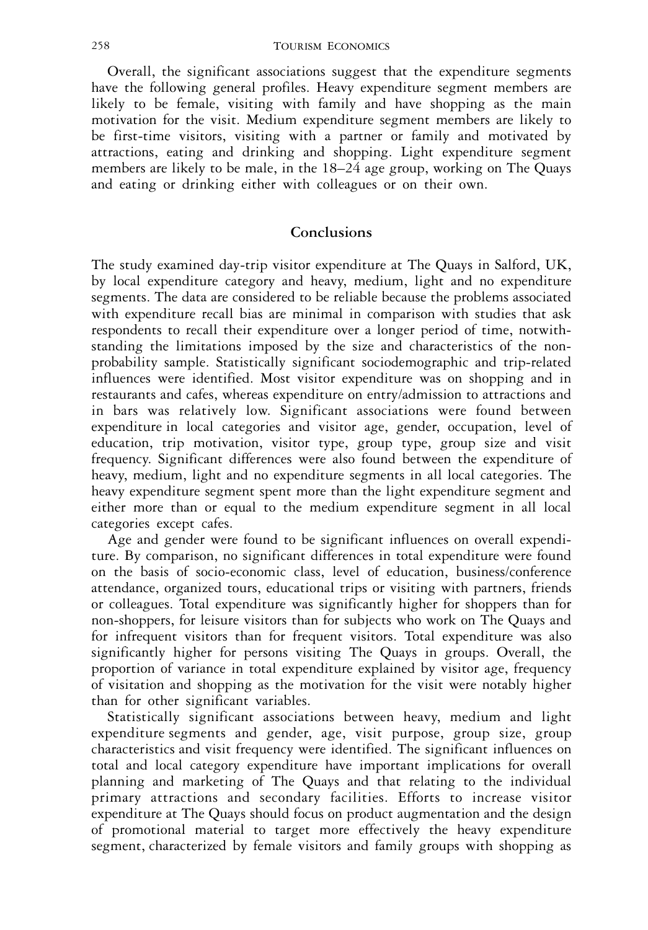Overall, the significant associations suggest that the expenditure segments have the following general profiles. Heavy expenditure segment members are likely to be female, visiting with family and have shopping as the main motivation for the visit. Medium expenditure segment members are likely to be first-time visitors, visiting with a partner or family and motivated by attractions, eating and drinking and shopping. Light expenditure segment members are likely to be male, in the 18–24 age group, working on The Quays and eating or drinking either with colleagues or on their own.

#### **Conclusions**

The study examined day-trip visitor expenditure at The Quays in Salford, UK, by local expenditure category and heavy, medium, light and no expenditure segments. The data are considered to be reliable because the problems associated with expenditure recall bias are minimal in comparison with studies that ask respondents to recall their expenditure over a longer period of time, notwithstanding the limitations imposed by the size and characteristics of the nonprobability sample. Statistically significant sociodemographic and trip-related influences were identified. Most visitor expenditure was on shopping and in restaurants and cafes, whereas expenditure on entry/admission to attractions and in bars was relatively low. Significant associations were found between expenditure in local categories and visitor age, gender, occupation, level of education, trip motivation, visitor type, group type, group size and visit frequency. Significant differences were also found between the expenditure of heavy, medium, light and no expenditure segments in all local categories. The heavy expenditure segment spent more than the light expenditure segment and either more than or equal to the medium expenditure segment in all local categories except cafes.

Age and gender were found to be significant influences on overall expenditure. By comparison, no significant differences in total expenditure were found on the basis of socio-economic class, level of education, business/conference attendance, organized tours, educational trips or visiting with partners, friends or colleagues. Total expenditure was significantly higher for shoppers than for non-shoppers, for leisure visitors than for subjects who work on The Quays and for infrequent visitors than for frequent visitors. Total expenditure was also significantly higher for persons visiting The Quays in groups. Overall, the proportion of variance in total expenditure explained by visitor age, frequency of visitation and shopping as the motivation for the visit were notably higher than for other significant variables.

Statistically significant associations between heavy, medium and light expenditure segments and gender, age, visit purpose, group size, group characteristics and visit frequency were identified. The significant influences on total and local category expenditure have important implications for overall planning and marketing of The Quays and that relating to the individual primary attractions and secondary facilities. Efforts to increase visitor expenditure at The Quays should focus on product augmentation and the design of promotional material to target more effectively the heavy expenditure segment, characterized by female visitors and family groups with shopping as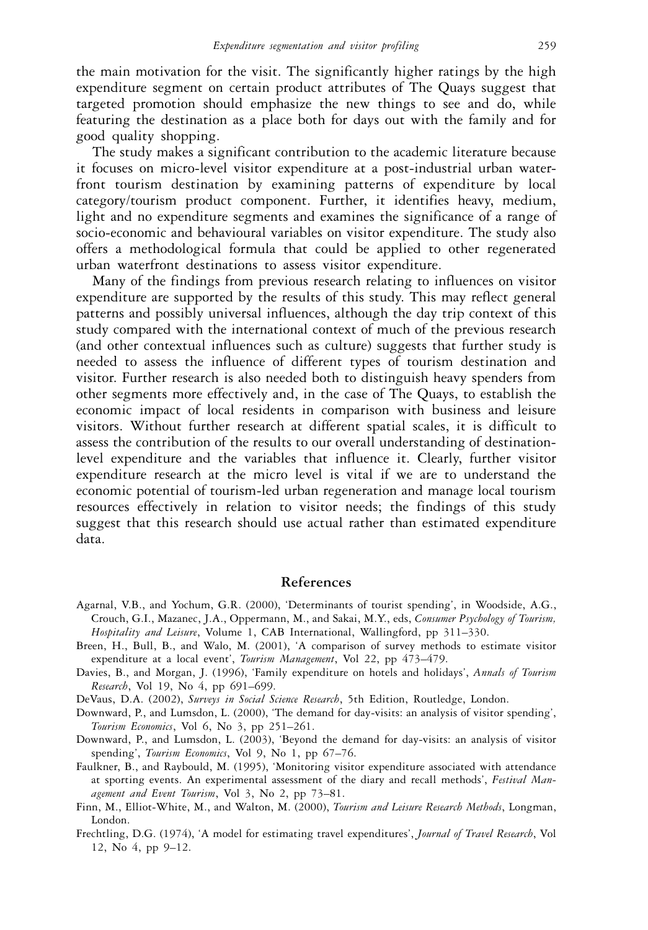the main motivation for the visit. The significantly higher ratings by the high expenditure segment on certain product attributes of The Quays suggest that targeted promotion should emphasize the new things to see and do, while featuring the destination as a place both for days out with the family and for good quality shopping.

The study makes a significant contribution to the academic literature because it focuses on micro-level visitor expenditure at a post-industrial urban waterfront tourism destination by examining patterns of expenditure by local category/tourism product component. Further, it identifies heavy, medium, light and no expenditure segments and examines the significance of a range of socio-economic and behavioural variables on visitor expenditure. The study also offers a methodological formula that could be applied to other regenerated urban waterfront destinations to assess visitor expenditure.

Many of the findings from previous research relating to influences on visitor expenditure are supported by the results of this study. This may reflect general patterns and possibly universal influences, although the day trip context of this study compared with the international context of much of the previous research (and other contextual influences such as culture) suggests that further study is needed to assess the influence of different types of tourism destination and visitor. Further research is also needed both to distinguish heavy spenders from other segments more effectively and, in the case of The Quays, to establish the economic impact of local residents in comparison with business and leisure visitors. Without further research at different spatial scales, it is difficult to assess the contribution of the results to our overall understanding of destinationlevel expenditure and the variables that influence it. Clearly, further visitor expenditure research at the micro level is vital if we are to understand the economic potential of tourism-led urban regeneration and manage local tourism resources effectively in relation to visitor needs; the findings of this study suggest that this research should use actual rather than estimated expenditure data.

# **References**

- Agarnal, V.B., and Yochum, G.R. (2000), 'Determinants of tourist spending', in Woodside, A.G., Crouch, G.I., Mazanec, J.A., Oppermann, M., and Sakai, M.Y., eds, *Consumer Psychology of Tourism, Hospitality and Leisure*, Volume 1, CAB International, Wallingford, pp 311–330.
- Breen, H., Bull, B., and Walo, M. (2001), 'A comparison of survey methods to estimate visitor expenditure at a local event', *Tourism Management*, Vol 22, pp 473–479.
- Davies, B., and Morgan, J. (1996), 'Family expenditure on hotels and holidays', *Annals of Tourism Research*, Vol 19, No 4, pp 691–699.

DeVaus, D.A. (2002), *Surveys in Social Science Research*, 5th Edition, Routledge, London.

- Downward, P., and Lumsdon, L. (2000), 'The demand for day-visits: an analysis of visitor spending', *Tourism Economics*, Vol 6, No 3, pp 251–261.
- Downward, P., and Lumsdon, L. (2003), 'Beyond the demand for day-visits: an analysis of visitor spending', *Tourism Economics*, Vol 9, No 1, pp 67–76.
- Faulkner, B., and Raybould, M. (1995), 'Monitoring visitor expenditure associated with attendance at sporting events. An experimental assessment of the diary and recall methods', *Festival Management and Event Tourism*, Vol 3, No 2, pp 73–81.
- Finn, M., Elliot-White, M., and Walton, M. (2000), *Tourism and Leisure Research Methods*, Longman, London.
- Frechtling, D.G. (1974), 'A model for estimating travel expenditures', *Journal of Travel Research*, Vol 12, No 4, pp 9–12.